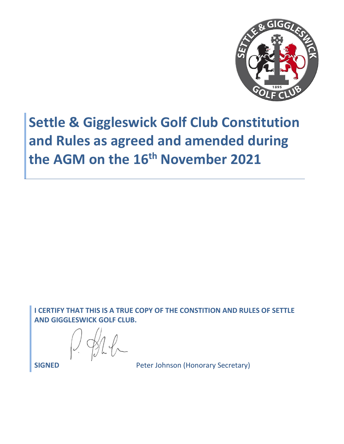

# **Settle & Giggleswick Golf Club Constitution and Rules as agreed and amended during the AGM on the 16th November 2021**

**I CERTIFY THAT THIS IS A TRUE COPY OF THE CONSTITION AND RULES OF SETTLE AND GIGGLESWICK GOLF CLUB.**

**SIGNED** Peter Johnson (Honorary Secretary)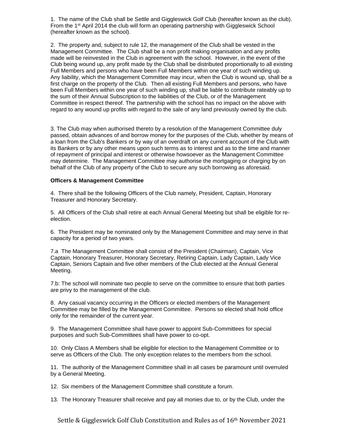1. The name of the Club shall be Settle and Giggleswick Golf Club (hereafter known as the club). From the 1<sup>st</sup> April 2014 the club will form an operating partnership with Giggleswick School (hereafter known as the school).

2. The property and, subject to rule 12, the management of the Club shall be vested in the Management Committee. The Club shall be a non profit making organisation and any profits made will be reinvested in the Club in agreement with the school. However, in the event of the Club being wound up, any profit made by the Club shall be distributed proportionally to all existing Full Members and persons who have been Full Members within one year of such winding up. Any liability, which the Management Committee may incur, when the Club is wound up, shall be a first charge on the property of the Club. Then all existing Full Members and persons, who have been Full Members within one year of such winding up, shall be liable to contribute rateably up to the sum of their Annual Subscription to the liabilities of the Club, or of the Management Committee in respect thereof. The partnership with the school has no impact on the above with regard to any wound up profits with regard to the sale of any land previously owned by the club.

3. The Club may when authorised thereto by a resolution of the Management Committee duly passed, obtain advances of and borrow money for the purposes of the Club, whether by means of a loan from the Club's Bankers or by way of an overdraft on any current account of the Club with its Bankers or by any other means upon such terms as to interest and as to the time and manner of repayment of principal and interest or otherwise howsoever as the Management Committee may determine. The Management Committee may authorise the mortgaging or charging by on behalf of the Club of any property of the Club to secure any such borrowing as aforesaid.

#### **Officers & Management Committee**

4. There shall be the following Officers of the Club namely, President, Captain, Honorary Treasurer and Honorary Secretary.

5. All Officers of the Club shall retire at each Annual General Meeting but shall be eligible for reelection.

6. The President may be nominated only by the Management Committee and may serve in that capacity for a period of two years.

7.a The Management Committee shall consist of the President (Chairman), Captain, Vice Captain, Honorary Treasurer, Honorary Secretary, Retiring Captain, Lady Captain, Lady Vice Captain, Seniors Captain and five other members of the Club elected at the Annual General Meeting.

7.b: The school will nominate two people to serve on the committee to ensure that both parties are privy to the management of the club.

8. Any casual vacancy occurring in the Officers or elected members of the Management Committee may be filled by the Management Committee. Persons so elected shall hold office only for the remainder of the current year.

9. The Management Committee shall have power to appoint Sub-Committees for special purposes and such Sub-Committees shall have power to co-opt.

10. Only Class A Members shall be eligible for election to the Management Committee or to serve as Officers of the Club. The only exception relates to the members from the school.

11. The authority of the Management Committee shall in all cases be paramount until overruled by a General Meeting.

12. Six members of the Management Committee shall constitute a forum.

13. The Honorary Treasurer shall receive and pay all monies due to, or by the Club, under the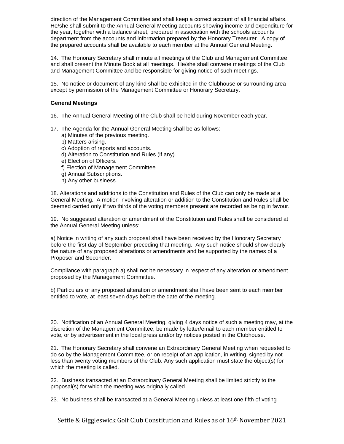direction of the Management Committee and shall keep a correct account of all financial affairs. He/she shall submit to the Annual General Meeting accounts showing income and expenditure for the year, together with a balance sheet, prepared in association with the schools accounts department from the accounts and information prepared by the Honorary Treasurer. A copy of the prepared accounts shall be available to each member at the Annual General Meeting.

14. The Honorary Secretary shall minute all meetings of the Club and Management Committee and shall present the Minute Book at all meetings. He/she shall convene meetings of the Club and Management Committee and be responsible for giving notice of such meetings.

15. No notice or document of any kind shall be exhibited in the Clubhouse or surrounding area except by permission of the Management Committee or Honorary Secretary.

### **General Meetings**

- 16. The Annual General Meeting of the Club shall be held during November each year.
- 17. The Agenda for the Annual General Meeting shall be as follows:
	- a) Minutes of the previous meeting.
	- b) Matters arising.
	- c) Adoption of reports and accounts.
	- d) Alteration to Constitution and Rules (if any).
	- e) Election of Officers.
	- f) Election of Management Committee.
	- g) Annual Subscriptions.
	- h) Any other business.

18. Alterations and additions to the Constitution and Rules of the Club can only be made at a General Meeting. A motion involving alteration or addition to the Constitution and Rules shall be deemed carried only if two thirds of the voting members present are recorded as being in favour.

19. No suggested alteration or amendment of the Constitution and Rules shall be considered at the Annual General Meeting unless:

a) Notice in writing of any such proposal shall have been received by the Honorary Secretary before the first day of September preceding that meeting. Any such notice should show clearly the nature of any proposed alterations or amendments and be supported by the names of a Proposer and Seconder.

Compliance with paragraph a) shall not be necessary in respect of any alteration or amendment proposed by the Management Committee.

b) Particulars of any proposed alteration or amendment shall have been sent to each member entitled to vote, at least seven days before the date of the meeting.

20. Notification of an Annual General Meeting, giving 4 days notice of such a meeting may, at the discretion of the Management Committee, be made by letter/email to each member entitled to vote, or by advertisement in the local press and/or by notices posted in the Clubhouse.

21. The Honorary Secretary shall convene an Extraordinary General Meeting when requested to do so by the Management Committee, or on receipt of an application, in writing, signed by not less than twenty voting members of the Club. Any such application must state the object(s) for which the meeting is called.

22. Business transacted at an Extraordinary General Meeting shall be limited strictly to the proposal(s) for which the meeting was originally called.

23. No business shall be transacted at a General Meeting unless at least one fifth of voting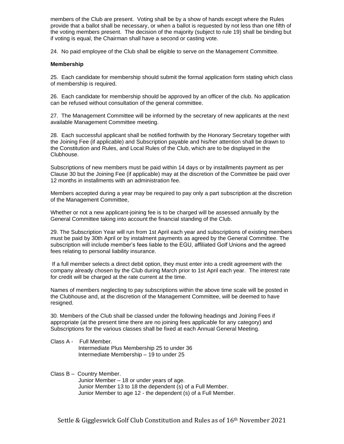members of the Club are present. Voting shall be by a show of hands except where the Rules provide that a ballot shall be necessary, or when a ballot is requested by not less than one fifth of the voting members present. The decision of the majority (subject to rule 19) shall be binding but if voting is equal, the Chairman shall have a second or casting vote.

24. No paid employee of the Club shall be eligible to serve on the Management Committee.

## **Membership**

25. Each candidate for membership should submit the formal application form stating which class of membership is required.

26. Each candidate for membership should be approved by an officer of the club. No application can be refused without consultation of the general committee.

27. The Management Committee will be informed by the secretary of new applicants at the next available Management Committee meeting.

28. Each successful applicant shall be notified forthwith by the Honorary Secretary together with the Joining Fee (if applicable) and Subscription payable and his/her attention shall be drawn to the Constitution and Rules, and Local Rules of the Club, which are to be displayed in the Clubhouse.

Subscriptions of new members must be paid within 14 days or by installments payment as per Clause 30 but the Joining Fee (if applicable) may at the discretion of the Committee be paid over 12 months in installments with an administration fee.

Members accepted during a year may be required to pay only a part subscription at the discretion of the Management Committee,

Whether or not a new applicant-joining fee is to be charged will be assessed annually by the General Committee taking into account the financial standing of the Club.

29. The Subscription Year will run from 1st April each year and subscriptions of existing members must be paid by 30th April or by instalment payments as agreed by the General Committee. The subscription will include member's fees liable to the EGU, affiliated Golf Unions and the agreed fees relating to personal liability insurance.

If a full member selects a direct debit option, they must enter into a credit agreement with the company already chosen by the Club during March prior to 1st April each year. The interest rate for credit will be charged at the rate current at the time.

Names of members neglecting to pay subscriptions within the above time scale will be posted in the Clubhouse and, at the discretion of the Management Committee, will be deemed to have resigned.

30. Members of the Club shall be classed under the following headings and Joining Fees if appropriate (at the present time there are no joining fees applicable for any category) and Subscriptions for the various classes shall be fixed at each Annual General Meeting.

Class A - Full Member. Intermediate Plus Membership 25 to under 36 Intermediate Membership – 19 to under 25

Class B – Country Member.

Junior Member – 18 or under years of age. Junior Member 13 to 18 the dependent (s) of a Full Member. Junior Member to age 12 - the dependent (s) of a Full Member.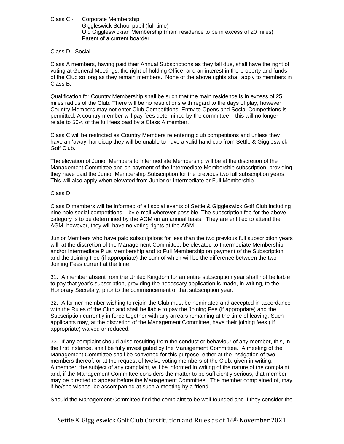Class C - Corporate Membership Giggleswick School pupil (full time) Old Giggleswickian Membership (main residence to be in excess of 20 miles). Parent of a current boarder

### Class D - Social

Class A members, having paid their Annual Subscriptions as they fall due, shall have the right of voting at General Meetings, the right of holding Office, and an interest in the property and funds of the Club so long as they remain members. None of the above rights shall apply to members in Class B.

Qualification for Country Membership shall be such that the main residence is in excess of 25 miles radius of the Club. There will be no restrictions with regard to the days of play; however Country Members may not enter Club Competitions. Entry to Opens and Social Competitions is permitted. A country member will pay fees determined by the committee – this will no longer relate to 50% of the full fees paid by a Class A member.

Class C will be restricted as Country Members re entering club competitions and unless they have an 'away' handicap they will be unable to have a valid handicap from Settle & Giggleswick Golf Club.

The elevation of Junior Members to Intermediate Membership will be at the discretion of the Management Committee and on payment of the Intermediate Membership subscription, providing they have paid the Junior Membership Subscription for the previous two full subscription years. This will also apply when elevated from Junior or Intermediate or Full Membership.

## Class D

Class D members will be informed of all social events of Settle & Giggleswick Golf Club including nine hole social competitions – by e-mail wherever possible. The subscription fee for the above category is to be determined by the AGM on an annual basis. They are entitled to attend the AGM, however, they will have no voting rights at the AGM

Junior Members who have paid subscriptions for less than the two previous full subscription years will, at the discretion of the Management Committee, be elevated to Intermediate Membership and/or Intermediate Plus Membership and to Full Membership on payment of the Subscription and the Joining Fee (if appropriate) the sum of which will be the difference between the two Joining Fees current at the time.

31. A member absent from the United Kingdom for an entire subscription year shall not be liable to pay that year's subscription, providing the necessary application is made, in writing, to the Honorary Secretary, prior to the commencement of that subscription year.

32. A former member wishing to rejoin the Club must be nominated and accepted in accordance with the Rules of the Club and shall be liable to pay the Joining Fee (if appropriate) and the Subscription currently in force together with any arrears remaining at the time of leaving. Such applicants may, at the discretion of the Management Committee, have their joining fees ( if appropriate) waived or reduced.

33. If any complaint should arise resulting from the conduct or behaviour of any member, this, in the first instance, shall be fully investigated by the Management Committee. A meeting of the Management Committee shall be convened for this purpose, either at the instigation of two members thereof, or at the request of twelve voting members of the Club, given in writing. A member, the subject of any complaint, will be informed in writing of the nature of the complaint and, if the Management Committee considers the matter to be sufficiently serious, that member may be directed to appear before the Management Committee. The member complained of, may if he/she wishes, be accompanied at such a meeting by a friend.

Should the Management Committee find the complaint to be well founded and if they consider the